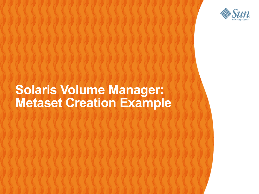

#### **Solaris Volume Manager: Metaset Creation Example**

,,,,,,,,,,,,,,,,,,,,,,,,,,,,,,

,,,,,,,,,,,,,,,,,,,,,,,,,,,,

,,,,,,,,,,,,,,,,,,,,,,,,,,,,,

1999999999999999999999999

,,,,,,,,,,,,,,,,,,,,,,,,,

,,,,,,,,,,,,,,,,,,,,,,,,,

,,,,,,,,,,,,,,,,,,,,,,,,,,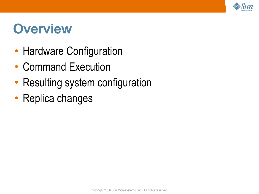

#### **Overview**

- Hardware Configuration
- Command Execution
- Resulting system configuration
- Replica changes

`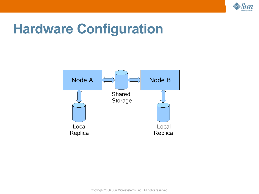

#### **Hardware Configuration**



Copyright 2006 Sun Microsystems, Inc. All rights reserved.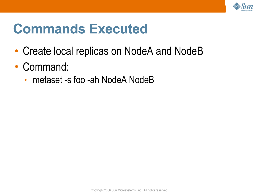

#### **Commands Executed**

- Create local replicas on NodeA and NodeB
- Command:
	- metaset -s foo -ah NodeA NodeB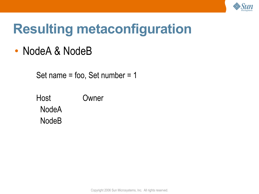

## **Resulting metaconfiguration**

#### • NodeA & NodeB

Set name = foo, Set number = 1

Host Owner **NodeA** NodeB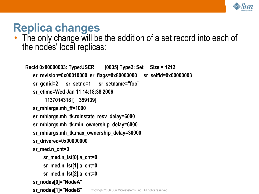

#### **Replica changes**

• The only change will be the addition of a set record into each of the nodes' local replicas:

```
Copyright 2006 Sun Microsystems, Inc. All rights reserved.
RecId 0x00000003: Type:USER [0005] Type2: Set Size = 1212
   sr_revision=0x00010000 sr_flags=0x80000000 sr_selfid=0x00000003
   sr_genid=2 sr_setno=1 sr_setname="foo"
   sr_ctime=Wed Jan 11 14:18:38 2006
        1137014318 [ 359139]
   sr_mhiargs.mh_ff=1000
   sr_mhiargs.mh_tk.reinstate_resv_delay=6000
   sr_mhiargs.mh_tk.min_ownership_delay=6000
   sr_mhiargs.mh_tk.max_ownership_delay=30000
   sr_driverec=0x00000000
   sr_med.n_cnt=0
       sr_med.n_lst[0].a_cnt=0
       sr_med.n_lst[1].a_cnt=0
       sr_med.n_lst[2].a_cnt=0
   sr_nodes[0]="NodeA"
   sr_nodes[1]="NodeB"
```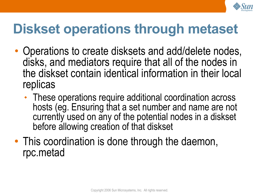

## **Diskset operations through metaset**

- Operations to create disksets and add/delete nodes, disks, and mediators require that all of the nodes in the diskset contain identical information in their local replicas
	- These operations require additional coordination across hosts (eg. Ensuring that a set number and name are not currently used on any of the potential nodes in a diskset before allowing creation of that diskset
- This coordination is done through the daemon, rpc.metad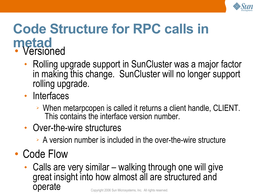

#### **Code Structure for RPC calls in metad** • Versioned

- Rolling upgrade support in SunCluster was a major factor in making this change. SunCluster will no longer support rolling upgrade.
- Interfaces
	- ➢ When metarpcopen is called it returns a client handle, CLIENT. This contains the interface version number.
- Over-the-wire structures
	- ➢ A version number is included in the over-the-wire structure
- Code Flow
	- Copyright 2006 Sun Microsystems, Inc. All rights reserved. • Calls are very similar – walking through one will give great insight into how almost all are structured and operate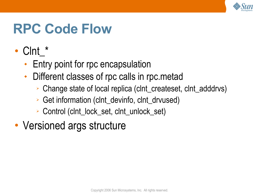

#### **RPC Code Flow**

- Clnt\_\*
	- Entry point for rpc encapsulation
	- Different classes of rpc calls in rpc.metad
		- ➢ Change state of local replica (clnt\_createset, clnt\_adddrvs)
		- ➢ Get information (clnt\_devinfo, clnt\_drvused)
		- ➢ Control (clnt\_lock\_set, clnt\_unlock\_set)
- Versioned args structure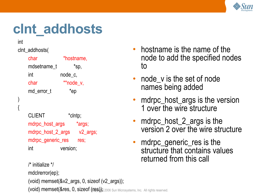

## **clnt\_addhosts**

int

)

{

#### clnt\_addhosts(

| char        | *hostname, |
|-------------|------------|
| mdsetname t | *sp,       |
| int         | node c,    |
| char        | **node_v,  |
| md error t  | *ep        |

CLIENT \*clntp; mdrpc\_host\_args \*args; mdrpc\_host\_2\_args v2\_args; mdrpc\_generic\_res res; int version;

```
(void) memset(&res, 0, sizeof {\rm (res)}); 2006 Sun Microsystems, Inc. All rights reserved.
/* initialize */
mdclrerror(ep);
(void) memset(&v2_args, 0, sizeof (v2_args));
```
- hostname is the name of the node to add the specified nodes to
- node v is the set of node names being added
- mdrpc\_host\_args is the version 1 over the wire structure
- mdrpc\_host\_2\_args is the version 2 over the wire structure
- mdrpc\_generic\_res is the structure that contains values returned from this call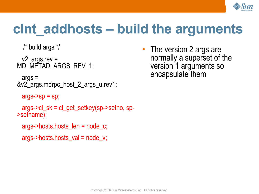

## **clnt\_addhosts – build the arguments**

```
 /* build args */
```

```
v2 args.rev =
MD_METAD_ARGS_REV_1;
```

```
 args =
&v2_args.mdrpc_host_2_args_u.rev1;
```

```
args-{}sp = sp;
```

```
 args->cl_sk = cl_get_setkey(sp->setno, sp-
>setname);
```

```
 args->hosts.hosts_len = node_c;
```

```
 args->hosts.hosts_val = node_v;
```
• The version 2 args are normally a superset of the version 1 arguments so encapsulate them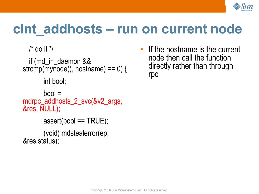

#### **clnt\_addhosts – run on current node**

 $\prime$ \* do it \*/

 if (md\_in\_daemon && strcmp(mynode(), hostname) ==  $0$ ) {

int bool;

```
bool =mdrpc_addhosts_2_svc(&v2_args,
&res, NULL);
      assert(bool == TRUE);
```

```
 (void) mdstealerror(ep,
&res.status);
```
• If the hostname is the current node then call the function directly rather than through rpc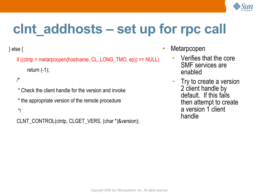

# **clnt\_addhosts – set up for rpc call**

} else {

```
if ((clntp = metarpcopen(hostname, CL_LONG_TMO, ep)) == NULL)
    return (-1);
```
/\*

\* Check the client handle for the version and invoke \* the appropriate version of the remote procedure

\*/

CLNT\_CONTROL(clntp, CLGET\_VERS, (char \*)&version);

- **Metarpcopen** 
	- Verifies that the core SMF services are enabled
	- Try to create a version 2 client handle by default. If this fails then attempt to create a version 1 client handle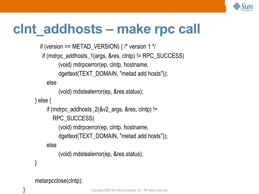

#### **clnt\_addhosts – make rpc call**

```
if (version == METAD_VERSION) \frac{7}{3} version 1 \frac{3}{7}if (mdrpc_addhosts_1(args, &res, clntp) != RPC_SUCCESS)
          (void) mdrpcerror(ep, clntp, hostname,
         dgettext(TEXT_DOMAIN, "metad add hosts"));
     else
          (void) mdstealerror(ep, &res.status);
} else {
     if (mdrpc_addhosts_2(&v2_args, &res, clntp) !=
       RPC_SUCCESS)
          (void) mdrpcerror(ep, clntp, hostname,
          dgettext(TEXT_DOMAIN, "metad add hosts"));
     else
          (void) mdstealerror(ep, &res.status);
```

```
metarpcclose(clntp);
```
}

}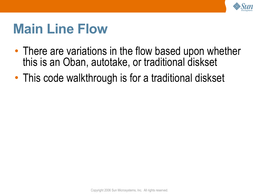

#### **Main Line Flow**

- There are variations in the flow based upon whether this is an Oban, autotake, or traditional diskset
- This code walkthrough is for a traditional diskset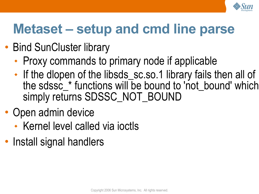

## **Metaset – setup and cmd line parse**

- Bind SunCluster library
	- Proxy commands to primary node if applicable
	- $\blacklozenge$ If the dlopen of the libsds\_sc.so.1 library fails then all of the sdssc\_\* functions will be bound to 'not\_bound' which simply returns SDSSC\_NOT\_BOUND
- Open admin device
	- Kernel level called via joctls
- Install signal handlers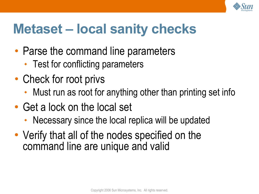

### **Metaset – local sanity checks**

- Parse the command line parameters
	- Test for conflicting parameters
- Check for root privs
	- Must run as root for anything other than printing set info
- Get a lock on the local set
	- Necessary since the local replica will be updated
- Verify that all of the nodes specified on the command line are unique and valid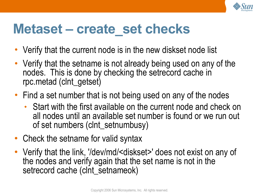

#### **Metaset – create\_set checks**

- Verify that the current node is in the new diskset node list
- Verify that the setname is not already being used on any of the nodes. This is done by checking the setrecord cache in rpc.metad (clnt\_getset)
- Find a set number that is not being used on any of the nodes
	- Start with the first available on the current node and check on all nodes until an available set number is found or we run out of set numbers (clnt\_setnumbusy)
- Check the setname for valid syntax
- Verify that the link, '/dev/md/<diskset>' does not exist on any of the nodes and verify again that the set name is not in the setrecord cache (clnt\_setnameok)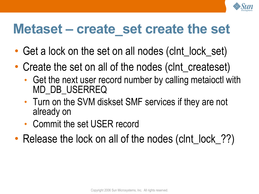

#### **Metaset – create\_set create the set**

- Get a lock on the set on all nodes (cint\_lock\_set)
- Create the set on all of the nodes (clnt\_createset)
	- Get the next user record number by calling metaioctl with MD\_DB\_USERREQ
	- Turn on the SVM diskset SMF services if they are not already on
	- Commit the set USER record
- Release the lock on all of the nodes (clnt\_lock\_??)